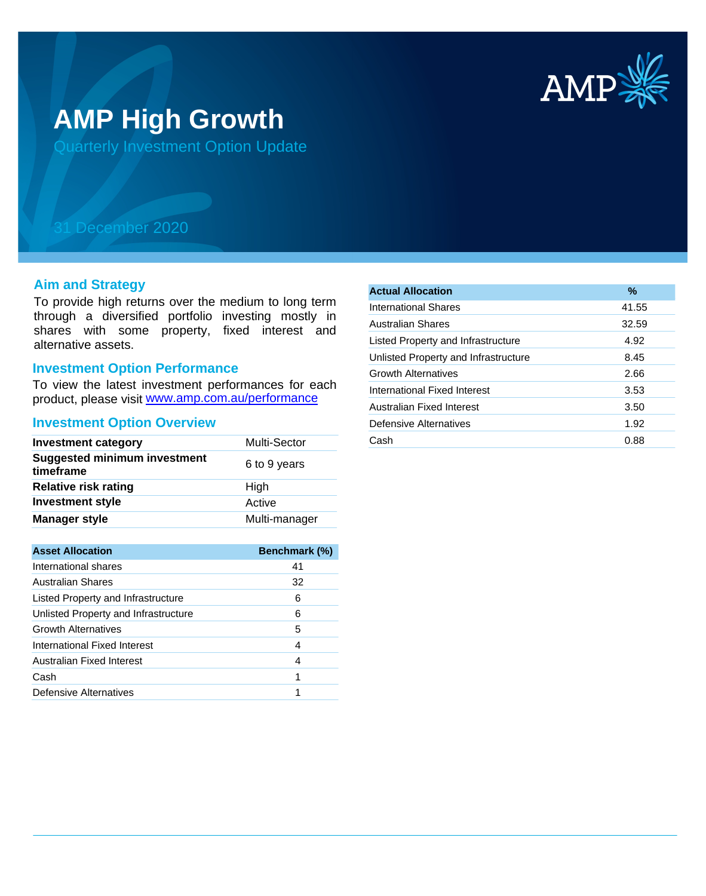

# **AMP High Growth**

Quarterly Investment Option Update

## 31 December 2020

#### **Aim and Strategy**

To provide high returns over the medium to long term through a diversified portfolio investing mostly in shares with some property, fixed interest and alternative assets.

### **Investment Option Performance**

product, please visit www.amp.com.au/performance To view the latest investment performances for each

#### **Investment Option Overview**

| <b>Investment category</b>                       | Multi-Sector  |
|--------------------------------------------------|---------------|
| <b>Suggested minimum investment</b><br>timeframe | 6 to 9 years  |
| <b>Relative risk rating</b>                      | High          |
| <b>Investment style</b>                          | Active        |
| <b>Manager style</b>                             | Multi-manager |

| <b>Asset Allocation</b>              | <b>Benchmark (%)</b> |
|--------------------------------------|----------------------|
| International shares                 | 41                   |
| Australian Shares                    | 32                   |
| Listed Property and Infrastructure   | 6                    |
| Unlisted Property and Infrastructure | 6                    |
| <b>Growth Alternatives</b>           | 5                    |
| International Fixed Interest         | 4                    |
| Australian Fixed Interest            | 4                    |
| Cash                                 | 1                    |
| Defensive Alternatives               |                      |

| <b>Actual Allocation</b>             | $\frac{9}{6}$ |
|--------------------------------------|---------------|
| International Shares                 | 41.55         |
| <b>Australian Shares</b>             | 32.59         |
| Listed Property and Infrastructure   | 4.92          |
| Unlisted Property and Infrastructure | 8.45          |
| <b>Growth Alternatives</b>           | 2.66          |
| International Fixed Interest         | 3.53          |
| Australian Fixed Interest            | 3.50          |
| Defensive Alternatives               | 1.92          |
| Cash                                 | 0.88          |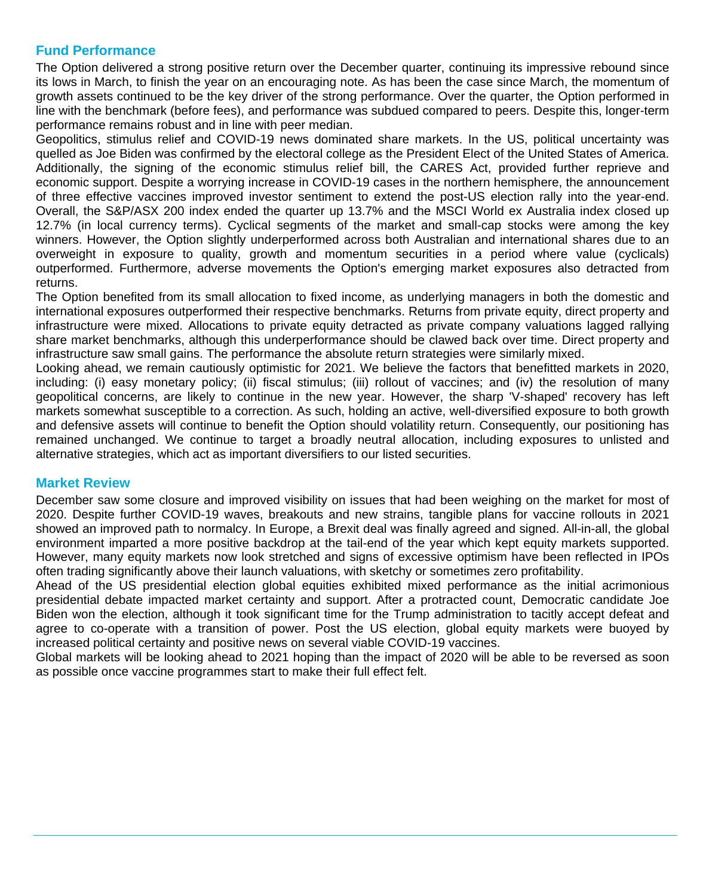#### **Fund Performance**

The Option delivered a strong positive return over the December quarter, continuing its impressive rebound since its lows in March, to finish the year on an encouraging note. As has been the case since March, the momentum of growth assets continued to be the key driver of the strong performance. Over the quarter, the Option performed in line with the benchmark (before fees), and performance was subdued compared to peers. Despite this, longer-term performance remains robust and in line with peer median.

Geopolitics, stimulus relief and COVID-19 news dominated share markets. In the US, political uncertainty was quelled as Joe Biden was confirmed by the electoral college as the President Elect of the United States of America. Additionally, the signing of the economic stimulus relief bill, the CARES Act, provided further reprieve and economic support. Despite a worrying increase in COVID-19 cases in the northern hemisphere, the announcement of three effective vaccines improved investor sentiment to extend the post-US election rally into the year-end. Overall, the S&P/ASX 200 index ended the quarter up 13.7% and the MSCI World ex Australia index closed up 12.7% (in local currency terms). Cyclical segments of the market and small-cap stocks were among the key winners. However, the Option slightly underperformed across both Australian and international shares due to an overweight in exposure to quality, growth and momentum securities in a period where value (cyclicals) outperformed. Furthermore, adverse movements the Option's emerging market exposures also detracted from returns.

The Option benefited from its small allocation to fixed income, as underlying managers in both the domestic and international exposures outperformed their respective benchmarks. Returns from private equity, direct property and infrastructure were mixed. Allocations to private equity detracted as private company valuations lagged rallying share market benchmarks, although this underperformance should be clawed back over time. Direct property and infrastructure saw small gains. The performance the absolute return strategies were similarly mixed.

Looking ahead, we remain cautiously optimistic for 2021. We believe the factors that benefitted markets in 2020, including: (i) easy monetary policy; (ii) fiscal stimulus; (iii) rollout of vaccines; and (iv) the resolution of many geopolitical concerns, are likely to continue in the new year. However, the sharp 'V-shaped' recovery has left markets somewhat susceptible to a correction. As such, holding an active, well-diversified exposure to both growth and defensive assets will continue to benefit the Option should volatility return. Consequently, our positioning has remained unchanged. We continue to target a broadly neutral allocation, including exposures to unlisted and alternative strategies, which act as important diversifiers to our listed securities.

#### **Market Review**

December saw some closure and improved visibility on issues that had been weighing on the market for most of 2020. Despite further COVID-19 waves, breakouts and new strains, tangible plans for vaccine rollouts in 2021 showed an improved path to normalcy. In Europe, a Brexit deal was finally agreed and signed. All-in-all, the global environment imparted a more positive backdrop at the tail-end of the year which kept equity markets supported. However, many equity markets now look stretched and signs of excessive optimism have been reflected in IPOs often trading significantly above their launch valuations, with sketchy or sometimes zero profitability.

Ahead of the US presidential election global equities exhibited mixed performance as the initial acrimonious presidential debate impacted market certainty and support. After a protracted count, Democratic candidate Joe Biden won the election, although it took significant time for the Trump administration to tacitly accept defeat and agree to co-operate with a transition of power. Post the US election, global equity markets were buoyed by increased political certainty and positive news on several viable COVID-19 vaccines.

Global markets will be looking ahead to 2021 hoping than the impact of 2020 will be able to be reversed as soon as possible once vaccine programmes start to make their full effect felt.